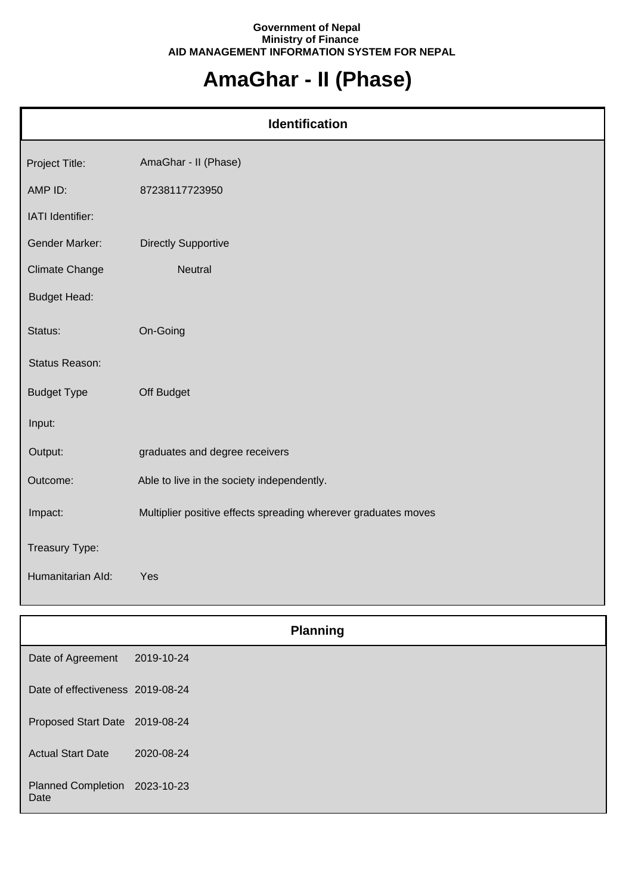## **Government of Nepal Ministry of Finance AID MANAGEMENT INFORMATION SYSTEM FOR NEPAL**

## **AmaGhar - II (Phase)**

| <b>Identification</b> |                                                                |  |
|-----------------------|----------------------------------------------------------------|--|
| Project Title:        | AmaGhar - II (Phase)                                           |  |
| AMP ID:               | 87238117723950                                                 |  |
| IATI Identifier:      |                                                                |  |
| <b>Gender Marker:</b> | <b>Directly Supportive</b>                                     |  |
| <b>Climate Change</b> | <b>Neutral</b>                                                 |  |
| <b>Budget Head:</b>   |                                                                |  |
| Status:               | On-Going                                                       |  |
| Status Reason:        |                                                                |  |
| <b>Budget Type</b>    | Off Budget                                                     |  |
| Input:                |                                                                |  |
| Output:               | graduates and degree receivers                                 |  |
| Outcome:              | Able to live in the society independently.                     |  |
| Impact:               | Multiplier positive effects spreading wherever graduates moves |  |
| Treasury Type:        |                                                                |  |
| Humanitarian Ald:     | Yes                                                            |  |

|                                       |            | <b>Planning</b> |
|---------------------------------------|------------|-----------------|
| Date of Agreement                     | 2019-10-24 |                 |
| Date of effectiveness 2019-08-24      |            |                 |
| Proposed Start Date 2019-08-24        |            |                 |
| <b>Actual Start Date</b>              | 2020-08-24 |                 |
| Planned Completion 2023-10-23<br>Date |            |                 |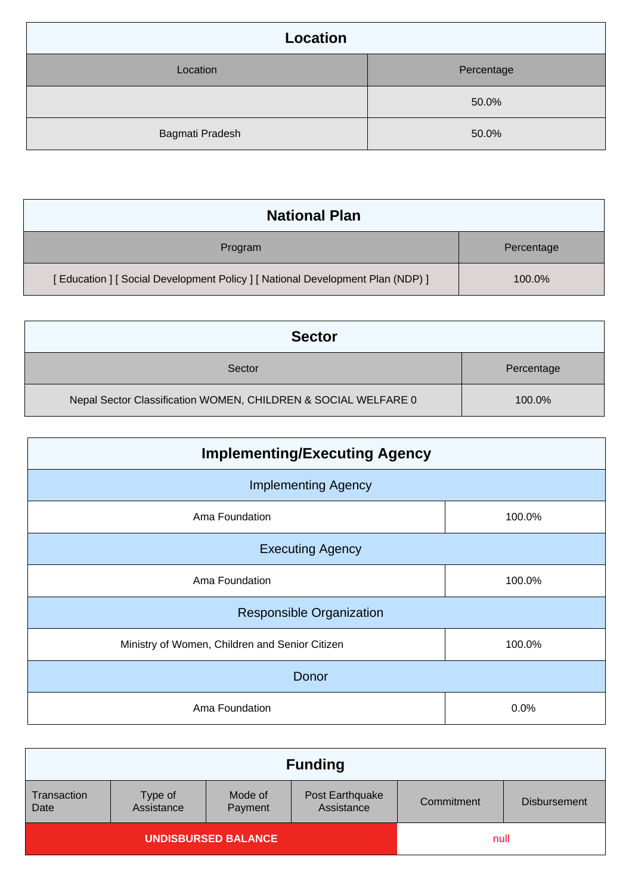| <b>Location</b> |            |
|-----------------|------------|
| Location        | Percentage |
|                 | 50.0%      |
| Bagmati Pradesh | 50.0%      |

| <b>National Plan</b>                                                            |            |
|---------------------------------------------------------------------------------|------------|
| Program                                                                         | Percentage |
| [ Education ] [ Social Development Policy ] [ National Development Plan (NDP) ] | 100.0%     |

| <b>Sector</b>                                                  |            |
|----------------------------------------------------------------|------------|
| Sector                                                         | Percentage |
| Nepal Sector Classification WOMEN, CHILDREN & SOCIAL WELFARE 0 | 100.0%     |

| <b>Implementing/Executing Agency</b>           |        |  |  |
|------------------------------------------------|--------|--|--|
| <b>Implementing Agency</b>                     |        |  |  |
| Ama Foundation                                 | 100.0% |  |  |
| <b>Executing Agency</b>                        |        |  |  |
| Ama Foundation                                 | 100.0% |  |  |
| <b>Responsible Organization</b>                |        |  |  |
| Ministry of Women, Children and Senior Citizen | 100.0% |  |  |
| Donor                                          |        |  |  |
| Ama Foundation                                 | 0.0%   |  |  |

| <b>Funding</b>             |                       |                    |                               |            |                     |
|----------------------------|-----------------------|--------------------|-------------------------------|------------|---------------------|
| Transaction<br>Date        | Type of<br>Assistance | Mode of<br>Payment | Post Earthquake<br>Assistance | Commitment | <b>Disbursement</b> |
| <b>UNDISBURSED BALANCE</b> |                       |                    | null                          |            |                     |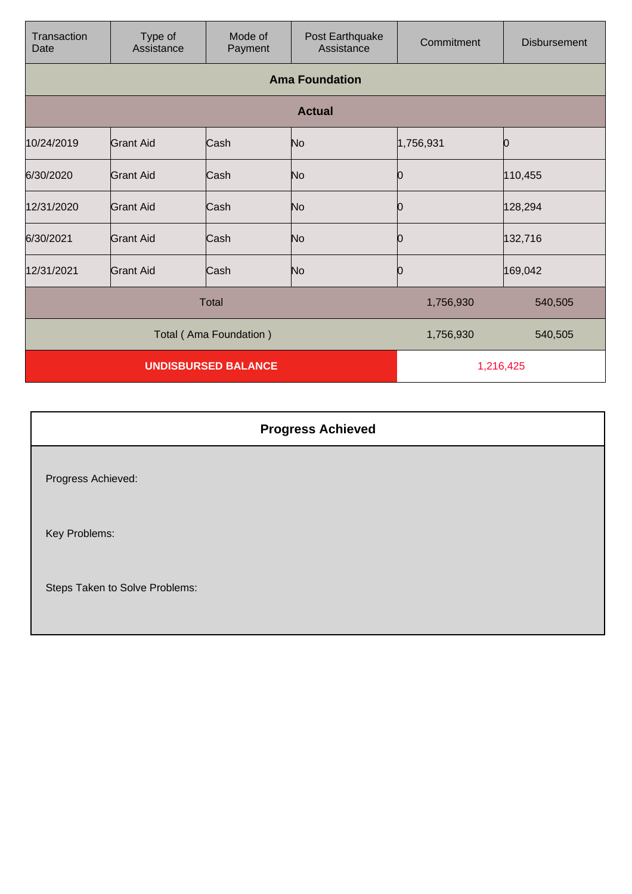| Transaction<br>Date        | Type of<br>Assistance | Mode of<br>Payment | Post Earthquake<br>Assistance | Commitment | <b>Disbursement</b> |
|----------------------------|-----------------------|--------------------|-------------------------------|------------|---------------------|
|                            |                       |                    | <b>Ama Foundation</b>         |            |                     |
|                            |                       |                    | <b>Actual</b>                 |            |                     |
| 10/24/2019                 | <b>Grant Aid</b>      | Cash               | No                            | 1,756,931  |                     |
| 6/30/2020                  | <b>Grant Aid</b>      | Cash               | No                            | Ю          | 110,455             |
| 12/31/2020                 | Grant Aid             | Cash               | No                            | 0          | 128,294             |
| 6/30/2021                  | Grant Aid             | Cash               | No                            | 10         | 132,716             |
| 12/31/2021                 | <b>Grant Aid</b>      | Cash               | No                            | Ю          | 169,042             |
|                            |                       | <b>Total</b>       |                               | 1,756,930  | 540,505             |
| Total (Ama Foundation)     |                       |                    | 1,756,930                     | 540,505    |                     |
| <b>UNDISBURSED BALANCE</b> |                       |                    | 1,216,425                     |            |                     |

| <b>Progress Achieved</b>       |  |
|--------------------------------|--|
| Progress Achieved:             |  |
| Key Problems:                  |  |
| Steps Taken to Solve Problems: |  |